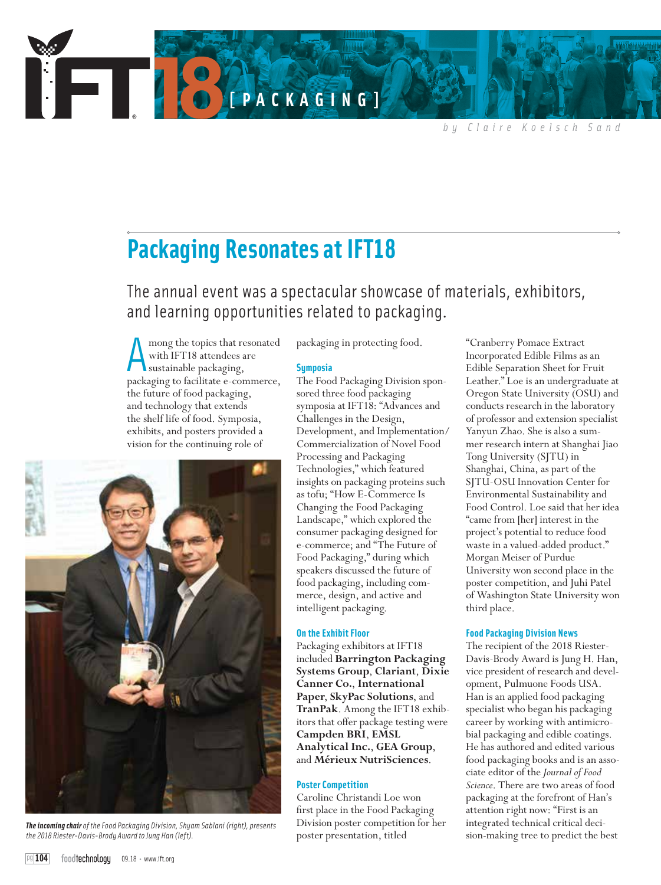

# **Packaging Resonates at IFT18**

The annual event was a spectacular showcase of materials, exhibitors, and learning opportunities related to packaging.

A mong the topics that resonated<br>with IFT18 attendees are<br>sustainable packaging,<br>packaging to facilitate e-commerce, mong the topics that resonated with IFT18 attendees are sustainable packaging, the future of food packaging, and technology that extends the shelf life of food. Symposia, exhibits, and posters provided a vision for the continuing role of

**PACKAGING** 

*The incoming chair of the Food Packaging Division, Shyam Sablani (right), presents the 2018 Riester-Davis-Brody Award to Jung Han (left).*

packaging in protecting food.

### **Symposia**

The Food Packaging Division sponsored three food packaging symposia at IFT18: "Advances and Challenges in the Design, Development, and Implementation/ Commercialization of Novel Food Processing and Packaging Technologies," which featured insights on packaging proteins such as tofu; "How E-Commerce Is Changing the Food Packaging Landscape," which explored the consumer packaging designed for e-commerce; and "The Future of Food Packaging," during which speakers discussed the future of food packaging, including commerce, design, and active and intelligent packaging.

#### **On the Exhibit Floor**

Packaging exhibitors at IFT18 included **Barrington Packaging Systems Group**, **Clariant**, **Dixie Canner Co.**, **International Paper**, **SkyPac Solutions**, and **TranPak**. Among the IFT18 exhibitors that offer package testing were **Campden BRI**, **EMSL Analytical Inc.**, **GEA Group**, and **Mérieux NutriSciences**.

## **Poster Competition**

Caroline Christandi Loe won first place in the Food Packaging Division poster competition for her poster presentation, titled

"Cranberry Pomace Extract Incorporated Edible Films as an Edible Separation Sheet for Fruit Leather." Loe is an undergraduate at Oregon State University (OSU) and conducts research in the laboratory of professor and extension specialist Yanyun Zhao. She is also a summer research intern at Shanghai Jiao Tong University (SJTU) in Shanghai, China, as part of the SJTU-OSU Innovation Center for Environmental Sustainability and Food Control. Loe said that her idea "came from [her] interest in the project's potential to reduce food waste in a valued-added product." Morgan Meiser of Purdue University won second place in the poster competition, and Juhi Patel of Washington State University won third place.

#### **Food Packaging Division News**

The recipient of the 2018 Riester-Davis-Brody Award is Jung H. Han, vice president of research and development, Pulmuone Foods USA. Han is an applied food packaging specialist who began his packaging career by working with antimicrobial packaging and edible coatings. He has authored and edited various food packaging books and is an associate editor of the *Journal of Food Science*. There are two areas of food packaging at the forefront of Han's attention right now: "First is an integrated technical critical decision-making tree to predict the best